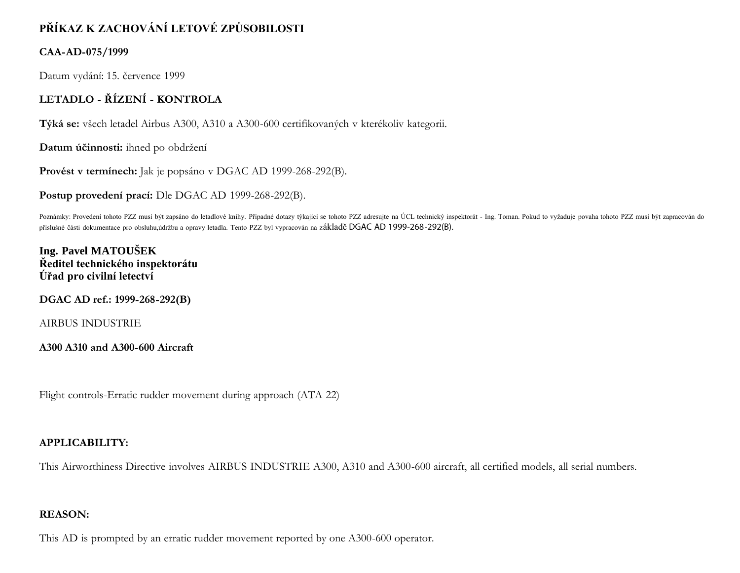# **PŘÍKAZ K ZACHOVÁNÍ LETOVÉ ZPŮSOBILOSTI**

### **CAA-AD-075/1999**

Datum vydání: 15. července 1999

# **LETADLO - ŘÍZENÍ - KONTROLA**

**Týká se:** všech letadel Airbus A300, A310 a A300-600 certifikovaných v kterékoliv kategorii.

**Datum účinnosti:** ihned po obdržení

**Provést v termínech:** Jak je popsáno v DGAC AD 1999-268-292(B).

**Postup provedení prací:** Dle DGAC AD 1999-268-292(B).

Poznámky: Provedení tohoto PZZ musí být zapsáno do letadlové knihy. Případné dotazy týkající se tohoto PZZ adresujte na ÚCL technický inspektorát - Ing. Toman. Pokud to vyžaduje povaha tohoto PZZ musí být zapracován do příslušné části dokumentace pro obsluhu,údržbu a opravy letadla. Tento PZZ byl vypracován na základě DGAC AD 1999-268-292(B).

**Ing. Pavel MATOUŠEK Ředitel technického inspektorátu Úřad pro civilní letectví**

**DGAC AD ref.: 1999-268-292(B)**

AIRBUS INDUSTRIE

**A300 A310 and A300-600 Aircraft**

Flight controls-Erratic rudder movement during approach (ATA 22)

## **APPLICABILITY:**

This Airworthiness Directive involves AIRBUS INDUSTRIE A300, A310 and A300-600 aircraft, all certified models, all serial numbers.

#### **REASON:**

This AD is prompted by an erratic rudder movement reported by one A300-600 operator.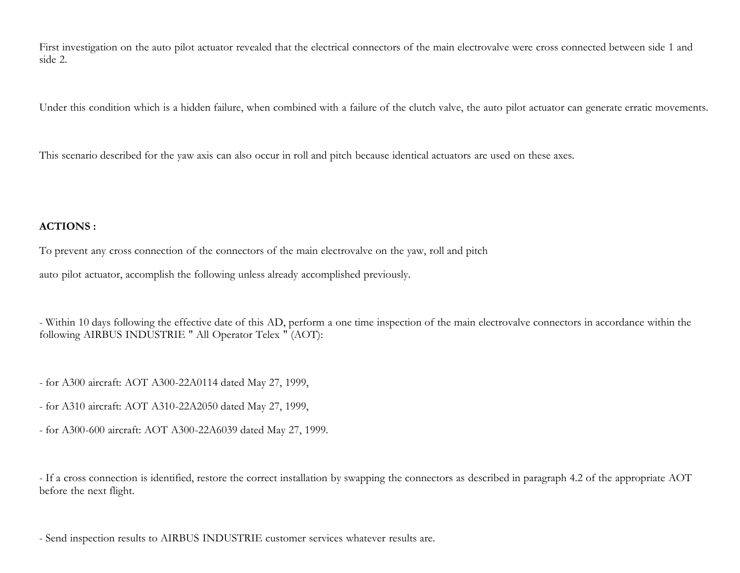First investigation on the auto pilot actuator revealed that the electrical connectors of the main electrovalve were cross connected between side 1 and side 2.

Under this condition which is a hidden failure, when combined with a failure of the clutch valve, the auto pilot actuator can generate erratic movements.

This scenario described for the yaw axis can also occur in roll and pitch because identical actuators are used on these axes.

### **ACTIONS :**

To prevent any cross connection of the connectors of the main electrovalve on the yaw, roll and pitch

auto pilot actuator, accomplish the following unless already accomplished previously.

- Within 10 days following the effective date of this AD, perform a one time inspection of the main electrovalve connectors in accordance within the following AIRBUS INDUSTRIE " All Operator Telex " (AOT):

- for A300 aircraft: AOT A300-22A0114 dated May 27, 1999,

- for A310 aircraft: AOT A310-22A2050 dated May 27, 1999,
- for A300-600 aircraft: AOT A300-22A6039 dated May 27, 1999.

- If a cross connection is identified, restore the correct installation by swapping the connectors as described in paragraph 4.2 of the appropriate AOT before the next flight.

- Send inspection results to AIRBUS INDUSTRIE customer services whatever results are.